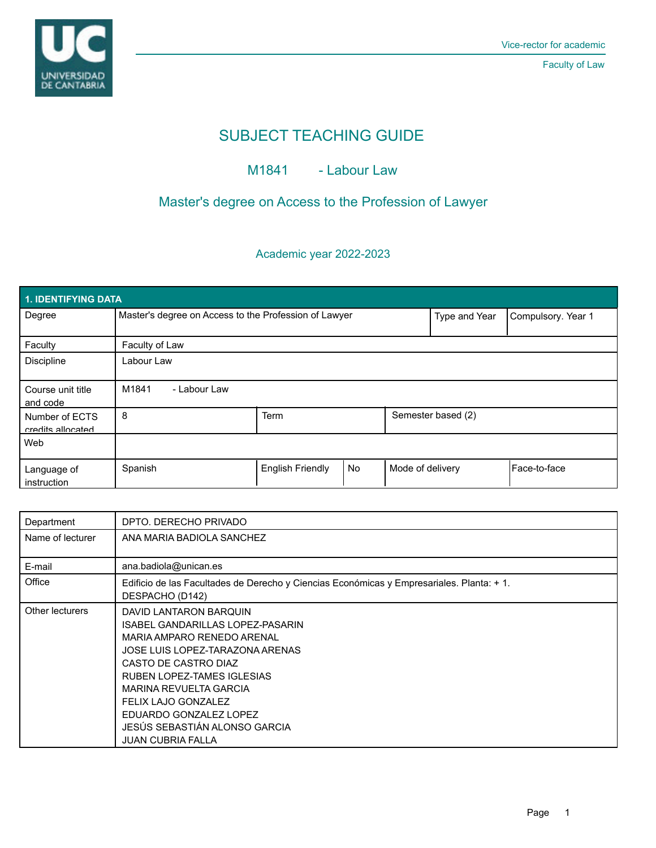

Faculty of Law

# SUBJECT TEACHING GUIDE

# M1841 - Labour Law

# Master's degree on Access to the Profession of Lawyer

## Academic year 2022-2023

| 1. IDENTIFYING DATA                 |                                                       |                         |           |                    |                    |              |  |  |  |  |
|-------------------------------------|-------------------------------------------------------|-------------------------|-----------|--------------------|--------------------|--------------|--|--|--|--|
| Degree                              | Master's degree on Access to the Profession of Lawyer |                         |           | Type and Year      | Compulsory. Year 1 |              |  |  |  |  |
| Faculty                             | Faculty of Law                                        |                         |           |                    |                    |              |  |  |  |  |
| <b>Discipline</b>                   | Labour Law                                            |                         |           |                    |                    |              |  |  |  |  |
| Course unit title<br>and code       | M1841<br>- Labour Law                                 |                         |           |                    |                    |              |  |  |  |  |
| Number of ECTS<br>credits allocated | 8                                                     | <b>Term</b>             |           | Semester based (2) |                    |              |  |  |  |  |
| Web                                 |                                                       |                         |           |                    |                    |              |  |  |  |  |
| Language of<br>instruction          | Spanish                                               | <b>English Friendly</b> | <b>No</b> | Mode of delivery   |                    | Face-to-face |  |  |  |  |

| Department       | DPTO. DERECHO PRIVADO                                                                                                                                                                                                                                                                                                     |
|------------------|---------------------------------------------------------------------------------------------------------------------------------------------------------------------------------------------------------------------------------------------------------------------------------------------------------------------------|
| Name of lecturer | ANA MARIA BADIOLA SANCHEZ                                                                                                                                                                                                                                                                                                 |
| E-mail           | ana.badiola@unican.es                                                                                                                                                                                                                                                                                                     |
| Office           | Edificio de las Facultades de Derecho y Ciencias Económicas y Empresariales. Planta: + 1.<br>DESPACHO (D142)                                                                                                                                                                                                              |
| Other lecturers  | DAVID LANTARON BARQUIN<br>ISABEL GANDARILLAS LOPEZ-PASARIN<br>MARIA AMPARO RENEDO ARENAL<br>JOSE LUIS LOPEZ-TARAZONA ARENAS<br>CASTO DE CASTRO DIAZ<br>RUBEN LOPEZ-TAMES IGLESIAS<br>MARINA REVUELTA GARCIA<br>FELIX LAJO GONZALEZ<br>EDUARDO GONZALEZ LOPEZ<br>JESÚS SEBASTIÁN ALONSO GARCIA<br><b>JUAN CUBRIA FALLA</b> |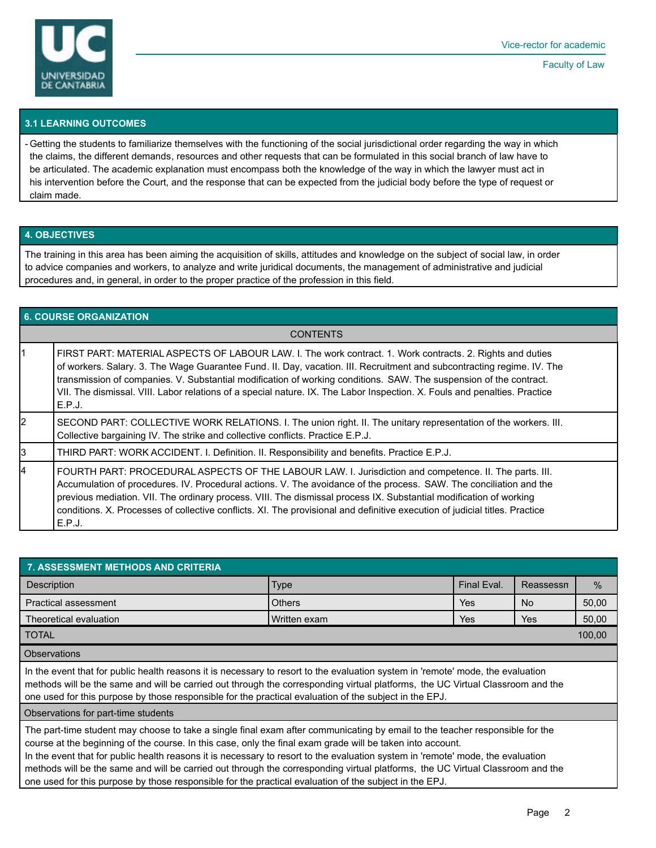

Faculty of Law

### **3.1 LEARNING OUTCOMES**

- Getting the students to familiarize themselves with the functioning of the social jurisdictional order regarding the way in which the claims, the different demands, resources and other requests that can be formulated in this social branch of law have to be articulated. The academic explanation must encompass both the knowledge of the way in which the lawyer must act in his intervention before the Court, and the response that can be expected from the judicial body before the type of request or claim made.

### **4. OBJECTIVES**

The training in this area has been aiming the acquisition of skills, attitudes and knowledge on the subject of social law, in order to advice companies and workers, to analyze and write juridical documents, the management of administrative and judicial procedures and, in general, in order to the proper practice of the profession in this field.

| <b>6. COURSE ORGANIZATION</b> |                                                                                                                                                                                                                                                                                                                                                                                                                                                                                                  |  |  |  |
|-------------------------------|--------------------------------------------------------------------------------------------------------------------------------------------------------------------------------------------------------------------------------------------------------------------------------------------------------------------------------------------------------------------------------------------------------------------------------------------------------------------------------------------------|--|--|--|
| <b>CONTENTS</b>               |                                                                                                                                                                                                                                                                                                                                                                                                                                                                                                  |  |  |  |
|                               | FIRST PART: MATERIAL ASPECTS OF LABOUR LAW. I. The work contract. 1. Work contracts. 2. Rights and duties<br>of workers. Salary. 3. The Wage Guarantee Fund. II. Day, vacation. III. Recruitment and subcontracting regime. IV. The<br>transmission of companies. V. Substantial modification of working conditions. SAW. The suspension of the contract.<br>VII. The dismissal. VIII. Labor relations of a special nature. IX. The Labor Inspection. X. Fouls and penalties. Practice<br>E.P.J. |  |  |  |
| 2                             | SECOND PART: COLLECTIVE WORK RELATIONS. I. The union right. II. The unitary representation of the workers. III.<br>Collective bargaining IV. The strike and collective conflicts. Practice E.P.J.                                                                                                                                                                                                                                                                                                |  |  |  |
| 3                             | THIRD PART: WORK ACCIDENT. I. Definition. II. Responsibility and benefits. Practice E.P.J.                                                                                                                                                                                                                                                                                                                                                                                                       |  |  |  |
| 14                            | FOURTH PART: PROCEDURAL ASPECTS OF THE LABOUR LAW. I. Jurisdiction and competence. II. The parts. III.<br>Accumulation of procedures. IV. Procedural actions. V. The avoidance of the process. SAW. The conciliation and the<br>previous mediation. VII. The ordinary process. VIII. The dismissal process IX. Substantial modification of working<br>conditions. X. Processes of collective conflicts. XI. The provisional and definitive execution of judicial titles. Practice<br>E.P.J.      |  |  |  |

| <b>7. ASSESSMENT METHODS AND CRITERIA</b>                                          |                |             |           |               |  |  |  |  |  |
|------------------------------------------------------------------------------------|----------------|-------------|-----------|---------------|--|--|--|--|--|
| Description                                                                        | <b>Type</b>    | Final Eval. | Reassessn | $\frac{0}{0}$ |  |  |  |  |  |
| <b>Practical assessment</b>                                                        | <b>Others</b>  | Yes         | <b>No</b> | 50,00         |  |  |  |  |  |
| Theoretical evaluation                                                             | I Written exam | Yes         | Yes       | 50,00         |  |  |  |  |  |
| <b>TOTAL</b>                                                                       |                |             |           |               |  |  |  |  |  |
| $\bigcap_{n=1}^{\infty}$ and $\bigcap_{n=1}^{\infty}$ and $\bigcap_{n=1}^{\infty}$ |                |             |           |               |  |  |  |  |  |

#### **Observations**

In the event that for public health reasons it is necessary to resort to the evaluation system in 'remote' mode, the evaluation methods will be the same and will be carried out through the corresponding virtual platforms, the UC Virtual Classroom and the one used for this purpose by those responsible for the practical evaluation of the subject in the EPJ.

Observations for part-time students

The part-time student may choose to take a single final exam after communicating by email to the teacher responsible for the course at the beginning of the course. In this case, only the final exam grade will be taken into account.

In the event that for public health reasons it is necessary to resort to the evaluation system in 'remote' mode, the evaluation methods will be the same and will be carried out through the corresponding virtual platforms, the UC Virtual Classroom and the one used for this purpose by those responsible for the practical evaluation of the subject in the EPJ.